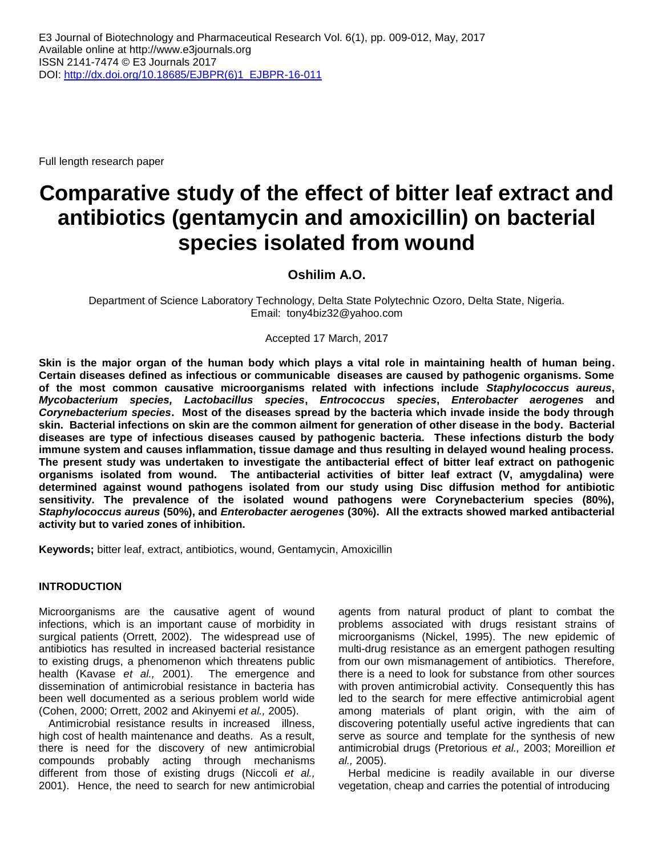Full length research paper

# **Comparative study of the effect of bitter leaf extract and antibiotics (gentamycin and amoxicillin) on bacterial species isolated from wound**

# **Oshilim A.O.**

Department of Science Laboratory Technology, Delta State Polytechnic Ozoro, Delta State, Nigeria. Email: tony4biz32@yahoo.com

Accepted 17 March, 2017

**Skin is the major organ of the human body which plays a vital role in maintaining health of human being. Certain diseases defined as infectious or communicable diseases are caused by pathogenic organisms. Some of the most common causative microorganisms related with infections include** *Staphylococcus aureus***,**  *Mycobacterium species, Lactobacillus species***,** *Entrococcus species***,** *Enterobacter aerogenes* **and**  *Corynebacterium species***. Most of the diseases spread by the bacteria which invade inside the body through skin. Bacterial infections on skin are the common ailment for generation of other disease in the body. Bacterial diseases are type of infectious diseases caused by pathogenic bacteria. These infections disturb the body immune system and causes inflammation, tissue damage and thus resulting in delayed wound healing process. The present study was undertaken to investigate the antibacterial effect of bitter leaf extract on pathogenic organisms isolated from wound. The antibacterial activities of bitter leaf extract (V, amygdalina) were determined against wound pathogens isolated from our study using Disc diffusion method for antibiotic sensitivity. The prevalence of the isolated wound pathogens were Corynebacterium species (80%),**  *Staphylococcus aureus* **(50%), and** *Enterobacter aerogenes* **(30%). All the extracts showed marked antibacterial activity but to varied zones of inhibition.**

**Keywords;** bitter leaf, extract, antibiotics, wound, Gentamycin, Amoxicillin

#### **INTRODUCTION**

Microorganisms are the causative agent of wound infections, which is an important cause of morbidity in surgical patients (Orrett, 2002). The widespread use of antibiotics has resulted in increased bacterial resistance to existing drugs, a phenomenon which threatens public health (Kavase *et al.,* 2001). The emergence and dissemination of antimicrobial resistance in bacteria has been well documented as a serious problem world wide (Cohen, 2000; Orrett, 2002 and Akinyemi *et al.,* 2005).

Antimicrobial resistance results in increased illness, high cost of health maintenance and deaths. As a result, there is need for the discovery of new antimicrobial compounds probably acting through mechanisms different from those of existing drugs (Niccoli *et al.,* 2001). Hence, the need to search for new antimicrobial agents from natural product of plant to combat the problems associated with drugs resistant strains of microorganisms (Nickel, 1995). The new epidemic of multi-drug resistance as an emergent pathogen resulting from our own mismanagement of antibiotics. Therefore, there is a need to look for substance from other sources with proven antimicrobial activity. Consequently this has led to the search for mere effective antimicrobial agent among materials of plant origin, with the aim of discovering potentially useful active ingredients that can serve as source and template for the synthesis of new antimicrobial drugs (Pretorious *et al.,* 2003; Moreillion *et al.,* 2005).

Herbal medicine is readily available in our diverse vegetation, cheap and carries the potential of introducing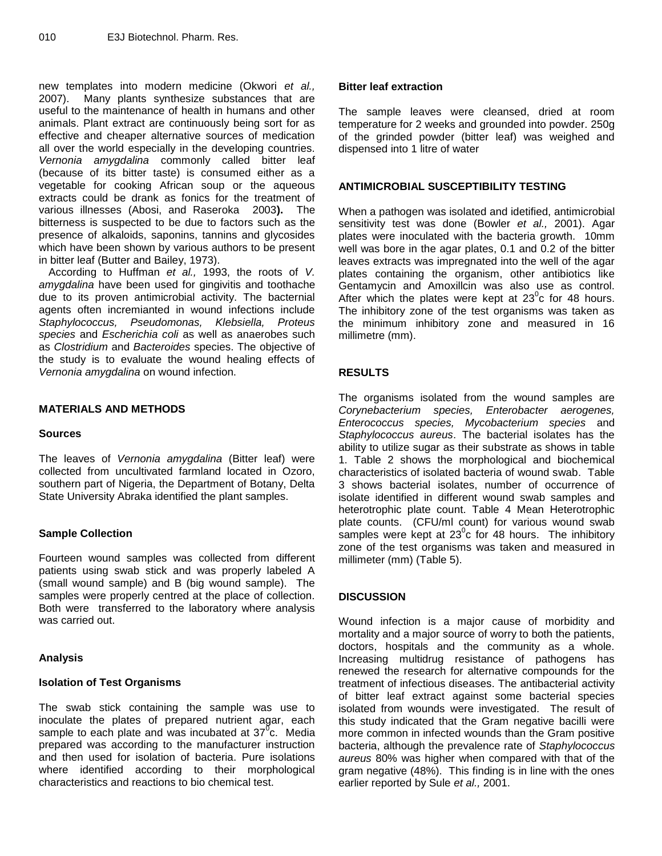new templates into modern medicine (Okwori *et al.,* 2007). Many plants synthesize substances that are useful to the maintenance of health in humans and other animals. Plant extract are continuously being sort for as effective and cheaper alternative sources of medication all over the world especially in the developing countries. *Vernonia amygdalina* commonly called bitter leaf (because of its bitter taste) is consumed either as a vegetable for cooking African soup or the aqueous extracts could be drank as fonics for the treatment of various illnesses (Abosi, and Raseroka 2003**).** The bitterness is suspected to be due to factors such as the presence of alkaloids, saponins, tannins and glycosides which have been shown by various authors to be present in bitter leaf (Butter and Bailey, 1973).

According to Huffman *et al.,* 1993, the roots of *V. amygdalina* have been used for gingivitis and toothache due to its proven antimicrobial activity. The bacternial agents often incremianted in wound infections include *Staphylococcus, Pseudomonas, Klebsiella, Proteus species* and *Escherichia coli* as well as anaerobes such as *Clostridium* and *Bacteroides* species. The objective of the study is to evaluate the wound healing effects of *Vernonia amygdalina* on wound infection.

#### **MATERIALS AND METHODS**

#### **Sources**

The leaves of *Vernonia amygdalina* (Bitter leaf) were collected from uncultivated farmland located in Ozoro, southern part of Nigeria, the Department of Botany, Delta State University Abraka identified the plant samples.

#### **Sample Collection**

Fourteen wound samples was collected from different patients using swab stick and was properly labeled A (small wound sample) and B (big wound sample). The samples were properly centred at the place of collection. Both were transferred to the laboratory where analysis was carried out.

#### **Analysis**

#### **Isolation of Test Organisms**

The swab stick containing the sample was use to inoculate the plates of prepared nutrient agar, each sample to each plate and was incubated at 37 $\mathrm{^{7}C}$ . Media prepared was according to the manufacturer instruction and then used for isolation of bacteria. Pure isolations where identified according to their morphological characteristics and reactions to bio chemical test.

#### **Bitter leaf extraction**

The sample leaves were cleansed, dried at room temperature for 2 weeks and grounded into powder. 250g of the grinded powder (bitter leaf) was weighed and dispensed into 1 litre of water

#### **ANTIMICROBIAL SUSCEPTIBILITY TESTING**

When a pathogen was isolated and idetified, antimicrobial sensitivity test was done (Bowler *et al.,* 2001). Agar plates were inoculated with the bacteria growth. 10mm well was bore in the agar plates, 0.1 and 0.2 of the bitter leaves extracts was impregnated into the well of the agar plates containing the organism, other antibiotics like Gentamycin and Amoxillcin was also use as control. After which the plates were kept at  $23^{\circ}$ c for 48 hours. The inhibitory zone of the test organisms was taken as the minimum inhibitory zone and measured in 16 millimetre (mm).

### **RESULTS**

The organisms isolated from the wound samples are *Corynebacterium species, Enterobacter aerogenes, Enterococcus species, Mycobacterium species* and *Staphylococcus aureus*. The bacterial isolates has the ability to utilize sugar as their substrate as shows in table 1. Table 2 shows the morphological and biochemical characteristics of isolated bacteria of wound swab. Table 3 shows bacterial isolates, number of occurrence of isolate identified in different wound swab samples and heterotrophic plate count. Table 4 Mean Heterotrophic plate counts. (CFU/ml count) for various wound swab samples were kept at 23 $^{\circ}$ c for 48 hours. The inhibitory zone of the test organisms was taken and measured in millimeter (mm) (Table 5).

#### **DISCUSSION**

Wound infection is a major cause of morbidity and mortality and a major source of worry to both the patients, doctors, hospitals and the community as a whole. Increasing multidrug resistance of pathogens has renewed the research for alternative compounds for the treatment of infectious diseases. The antibacterial activity of bitter leaf extract against some bacterial species isolated from wounds were investigated. The result of this study indicated that the Gram negative bacilli were more common in infected wounds than the Gram positive bacteria, although the prevalence rate of *Staphylococcus aureus* 80% was higher when compared with that of the gram negative (48%). This finding is in line with the ones earlier reported by Sule *et al.,* 2001.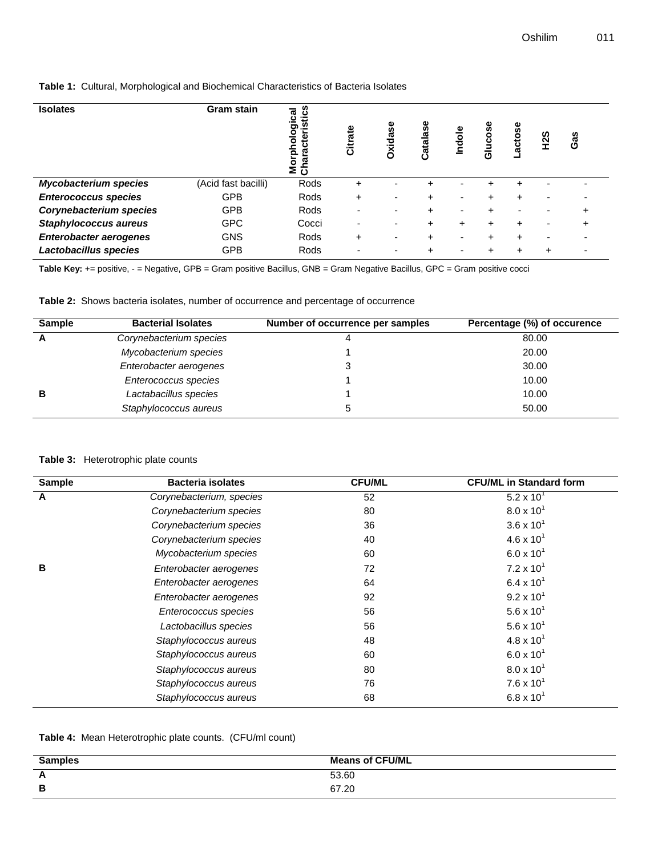| <b>Isolates</b>                | Gram stain          | istics<br>gical<br>Morpholog<br>Characteri | rate<br>ទី     | <b>Oxidase</b>           | talase | <b>Indole</b> | ğ<br>$\sigma$ | ω<br>U)<br>9<br>မ္က      | <b>H2S</b> | Gas |
|--------------------------------|---------------------|--------------------------------------------|----------------|--------------------------|--------|---------------|---------------|--------------------------|------------|-----|
| <b>Mycobacterium species</b>   | (Acid fast bacilli) | Rods                                       | $\ddot{}$      |                          | +      |               | +             | +                        |            |     |
| <b>Enterococcus species</b>    | <b>GPB</b>          | Rods                                       | $\ddot{}$      | -                        | ٠      | -             | ÷             | +                        |            |     |
| <b>Corynebacterium species</b> | <b>GPB</b>          | Rods                                       | ٠              | -                        | +      | -             | ٠             | $\overline{\phantom{0}}$ |            | ٠   |
| <b>Staphylococcus aureus</b>   | <b>GPC</b>          | Cocci                                      | ٠              | $\overline{\phantom{0}}$ | +      | +             | $\pm$         | +                        | -          | ٠   |
| <b>Enterobacter aerogenes</b>  | <b>GNS</b>          | Rods                                       | $\ddot{}$      | $\overline{\phantom{0}}$ | +      | -             | ÷             | $\ddot{}$                | -          |     |
| Lactobacillus species          | <b>GPB</b>          | Rods                                       | $\blacksquare$ |                          |        |               |               |                          |            |     |

Table Key: += positive, - = Negative, GPB = Gram positive Bacillus, GNB = Gram Negative Bacillus, GPC = Gram positive cocci

**Table 2:** Shows bacteria isolates, number of occurrence and percentage of occurrence

| <b>Sample</b> | <b>Bacterial Isolates</b> | Number of occurrence per samples | Percentage (%) of occurence |
|---------------|---------------------------|----------------------------------|-----------------------------|
|               | Corynebacterium species   |                                  | 80.00                       |
|               | Mycobacterium species     |                                  | 20.00                       |
|               | Enterobacter aerogenes    | 3                                | 30.00                       |
|               | Enterococcus species      |                                  | 10.00                       |
| в             | Lactabacillus species     |                                  | 10.00                       |
|               | Staphylococcus aureus     |                                  | 50.00                       |

#### **Table 3:** Heterotrophic plate counts

| <b>Sample</b> | <b>Bacteria isolates</b> | <b>CFU/ML</b> | <b>CFU/ML in Standard form</b> |
|---------------|--------------------------|---------------|--------------------------------|
| A             | Corynebacterium, species | 52            | $5.2 \times 10^{1}$            |
|               | Corynebacterium species  | 80            | $8.0 \times 10^{1}$            |
|               | Corynebacterium species  | 36            | $3.6 \times 10^{1}$            |
|               | Corynebacterium species  | 40            | $4.6 \times 10^{1}$            |
|               | Mycobacterium species    | 60            | $6.0 \times 10^{1}$            |
| B             | Enterobacter aerogenes   | 72            | $7.2 \times 10^{1}$            |
|               | Enterobacter aerogenes   | 64            | 6.4 x $10^{1}$                 |
|               | Enterobacter aerogenes   | 92            | $9.2 \times 10^{1}$            |
|               | Enterococcus species     | 56            | $5.6 \times 10^{1}$            |
|               | Lactobacillus species    | 56            | $5.6 \times 10^{1}$            |
|               | Staphylococcus aureus    | 48            | $4.8 \times 10^{1}$            |
|               | Staphylococcus aureus    | 60            | $6.0 \times 10^{1}$            |
|               | Staphylococcus aureus    | 80            | $8.0 \times 10^{1}$            |
|               | Staphylococcus aureus    | 76            | $7.6 \times 10^{1}$            |
|               | Staphylococcus aureus    | 68            | 6.8 x 10 <sup>1</sup>          |

## **Table 4:** Mean Heterotrophic plate counts. (CFU/ml count)

| <b>Samples</b> | <b>Means of CFU/ML</b> |
|----------------|------------------------|
| Ð              | 53.60                  |
|                | 67.20                  |